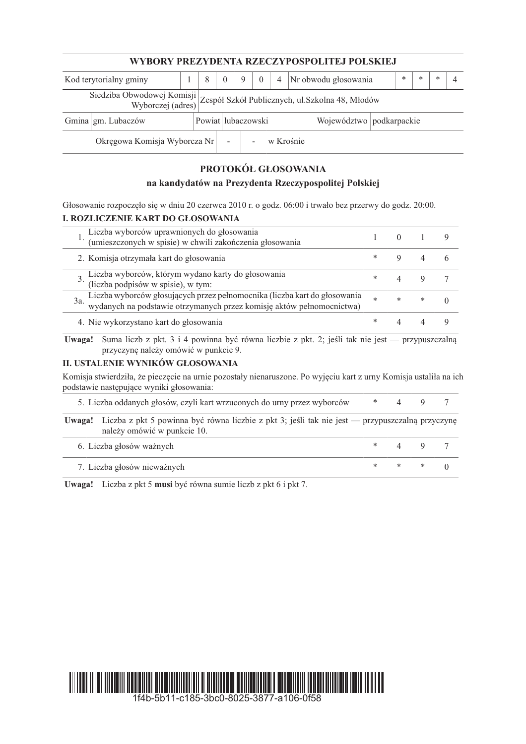| WYBORY PREZYDENTA RZECZYPOSPOLITEJ POLSKIEJ                                                         |                    |  |                    |          |   |          |                          |                      |  |  |        |   |     |  |
|-----------------------------------------------------------------------------------------------------|--------------------|--|--------------------|----------|---|----------|--------------------------|----------------------|--|--|--------|---|-----|--|
| Kod terytorialny gminy                                                                              |                    |  | 8                  | $\theta$ | 9 | $\theta$ | $\overline{4}$           | Nr obwodu głosowania |  |  | $\ast$ | * | $*$ |  |
| Siedziba Obwodowej Komisji<br>Zespół Szkół Publicznych, ul. Szkolna 48, Młodów<br>Wyborczej (adres) |                    |  |                    |          |   |          |                          |                      |  |  |        |   |     |  |
|                                                                                                     | Gmina gm. Lubaczów |  | Powiat lubaczowski |          |   |          | Województwo podkarpackie |                      |  |  |        |   |     |  |
| Okręgowa Komisja Wyborcza Nr<br>$\overline{\phantom{a}}$                                            |                    |  |                    |          |   |          | w Krośnie                |                      |  |  |        |   |     |  |

# PROTOKÓŁ GŁOSOWANIA

# na kandydatów na Prezydenta Rzeczypospolitej Polskiej

Głosowanie rozpoczęło się w dniu 20 czerwca 2010 r. o godz. 06:00 i trwało bez przerwy do godz. 20:00. I. ROZLICZENIE KART DO GŁOSOWANIA

|     | Liczba wyborców uprawnionych do głosowania<br>(umieszczonych w spisie) w chwili zakończenia głosowania                                          |            |        |   |  |
|-----|-------------------------------------------------------------------------------------------------------------------------------------------------|------------|--------|---|--|
|     | 2. Komisja otrzymała kart do głosowania                                                                                                         |            |        |   |  |
|     | Liczba wyborców, którym wydano karty do głosowania<br>(liczba podpisów w spisie), w tym:                                                        |            |        |   |  |
| 3a. | Liczba wyborców głosujących przez pełnomocnika (liczba kart do głosowania wydanych na podstawie otrzymanych przez komisję aktów pełnomocnictwa) | $\ast$     | $\ast$ | * |  |
|     | 4. Nie wykorzystano kart do głosowania                                                                                                          | $^{\star}$ |        |   |  |

Uwaga! Suma liczb z pkt. 3 i 4 powinna być równa liczbie z pkt. 2; jeśli tak nie jest - przypuszczalną przyczynę należy omówić w punkcie 9.

#### II. USTALENIE WYNIKÓW GŁOSOWANIA

Komisja stwierdziła, że pieczęcie na urnie pozostały nienaruszone. Po wyjęciu kart z urny Komisja ustaliła na ich podstawie następujące wyniki głosowania:

| 5. Liczba oddanych głosów, czyli kart wrzuconych do urny przez wyborców                                                                      |  |  |
|----------------------------------------------------------------------------------------------------------------------------------------------|--|--|
| <b>Uwaga!</b> Liczba z pkt 5 powinna być równa liczbie z pkt 3; jeśli tak nie jest — przypuszczalną przyczynę<br>należy omówić w punkcie 10. |  |  |

| 6. Liczba głosów ważnych    |  |  |
|-----------------------------|--|--|
| 7. Liczba głosów nieważnych |  |  |

Uwaga! Liczba z pkt 5 musi być równa sumie liczb z pkt 6 i pkt 7.

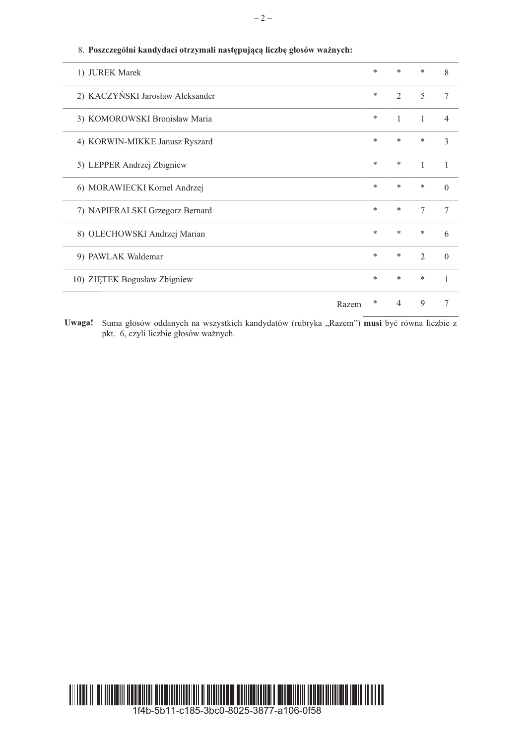| 1) JUREK Marek                   | * | *              | * | 8        |
|----------------------------------|---|----------------|---|----------|
| 2) KACZYŃSKI Jarosław Aleksander | * | $\mathfrak{D}$ | 5 | 7        |
| 3) KOMOROWSKI Bronisław Maria    | * | 1              | 1 | 4        |
| 4) KORWIN-MIKKE Janusz Ryszard   | * | $\ast$         | * | 3        |
| 5) LEPPER Andrzej Zbigniew       | * | *              | 1 | 1        |
| 6) MORAWIECKI Kornel Andrzej     | * | *              | * | $\Omega$ |
| 7) NAPIERALSKI Grzegorz Bernard  | * | $\ast$         | 7 | 7        |
| 8) OLECHOWSKI Andrzej Marian     | * | $\ast$         | * | 6        |
| 9) PAWLAK Waldemar               | * | $\ast$         | 2 | $\Omega$ |
| 10) ZIETEK Bogusław Zbigniew     | * | $\ast$         | * | 1        |
| Razem                            | * | 4              | 9 | 7        |

 $-2-$ 

# 8. Poszczególni kandydaci otrzymali następującą liczbę głosów ważnych:

Uwaga! Suma głosów oddanych na wszystkich kandydatów (rubryka "Razem") musi być równa liczbie z pkt. 6, czyli liczbie głosów ważnych.